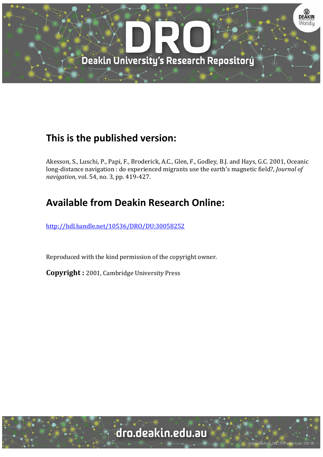

# **This is the published version:**

Akesson, S., Luschi, P., Papi, F., Broderick, A.C., Glen, F., Godley, B.J. and Hays, G.C. 2001, Oceanic long-distance navigation : do experienced migrants use the earth's magnetic field?, *Journal of navigation*, vol. 54, no. 3, pp. 419-427.

# **Available from Deakin Research Online:**

http://hdl.handle.net/10536/DRO/DU:30058252

Reproduced with the kind permission of the copyright owner.

**Copyright** : 2001, Cambridge University Press

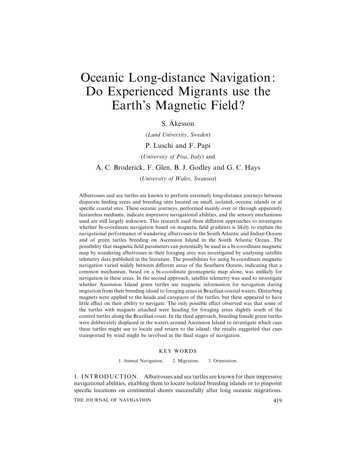# Oceanic Long-distance Navigation: Do Experienced Migrants use the Earth's Magnetic Field ?

## S. Åkesson

(*Lund University*, *Sweden*)

### P. Luschi and F. Papi

(*University of Pisa*, *Italy*) and

### A. C. Broderick, F. Glen, B. J. Godley and G. C. Hays

(*University of Wales*, *Swansea*)

Albatrosses and sea turtles are known to perform extremely long-distance journeys between disparate feeding areas and breeding sites located on small, isolated, oceanic islands or at specific coastal sites. These oceanic journeys, performed mainly over or through apparently featureless mediums, indicate impressive navigational abilities, and the sensory mechanisms used are still largely unknown. This research used three different approaches to investigate whether bi-coordinate navigation based on magnetic field gradients is likely to explain the navigational performance of wandering albatrosses in the South Atlantic and Indian Oceans and of green turtles breeding on Ascension Island in the South Atlantic Ocean. The possibility that magnetic field parameters can potentially be used in a bi-coordinate magnetic map by wandering albatrosses in their foraging area was investigated by analysing satellite telemetry data published in the literature. The possibilities for using bi-coordinate magnetic navigation varied widely between different areas of the Southern Oceans, indicating that a common mechanism, based on a bi-coordinate geomagnetic map alone, was unlikely for navigation in these areas. In the second approach, satellite telemetry was used to investigate whether Ascension Island green turtles use magnetic information for navigation during migration from their breeding island to foraging areas in Brazilian coastal waters. Disturbing magnets were applied to the heads and carapaces of the turtles, but these appeared to have little effect on their ability to navigate. The only possible effect observed was that some of the turtles with magnets attached were heading for foraging areas slightly south of the control turtles along the Brazilian coast. In the third approach, breeding female green turtles were deliberately displaced in the waters around Ascension Island to investigate which cues these turtles might use to locate and return to the island; the results suggested that cues transported by wind might be involved in the final stages of navigation.

#### KEY WORDS

1. Animal Navigation. 2. Migration. 3. Orientation.

1. INTRODUCT ION. Albatrosses and sea turtles are known for their impressive navigational abilities, enabling them to locate isolated breeding islands or to pinpoint specific locations on continental shores successfully after long oceanic migrations.

THE JOURNAL OF NAVIGATION 419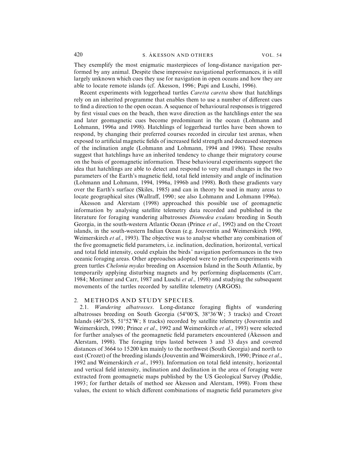They exemplify the most enigmatic masterpieces of long-distance navigation performed by any animal. Despite these impressive navigational performances, it is still largely unknown which cues they use for navigation in open oceans and how they are able to locate remote islands (cf. Åkesson, 1996; Papi and Luschi, 1996).

Recent experiments with loggerhead turtles *Caretta caretta* show that hatchlings rely on an inherited programme that enables them to use a number of different cues to find a direction to the open ocean. A sequence of behavioural responses is triggered by first visual cues on the beach, then wave direction as the hatchlings enter the sea and later geomagnetic cues become predominant in the ocean (Lohmann and Lohmann, 1996a and 1998). Hatchlings of loggerhead turtles have been shown to respond, by changing their preferred courses recorded in circular test arenas, when exposed to artificial magnetic fields of increased field strength and decreased steepness of the inclination angle (Lohmann and Lohmann, 1994 and 1996). These results suggest that hatchlings have an inherited tendency to change their migratory course on the basis of geomagnetic information. These behavioural experiments support the idea that hatchlings are able to detect and respond to very small changes in the two parameters of the Earth's magnetic field, total field intensity and angle of inclination (Lohmann and Lohmann, 1994, 1996a, 1996b and 1998). Both these gradients vary over the Earth's surface (Skiles, 1985) and can in theory be used in many areas to locate geographical sites (Wallraff, 1990; see also Lohmann and Lohmann 1996a).

Akesson and Alerstam (1998) approached this possible use of geomagnetic information by analysing satellite telemetry data recorded and published in the literature for foraging wandering albatrosses *Diomedea exulans* breeding in South Georgia, in the south-western Atlantic Ocean (Prince *et al*., 1992) and on the Crozet islands, in the south-western Indian Ocean (e.g. Jouventin and Weimerskirch 1990, Weimerskirch *et al*., 1993). The objective was to analyse whether any combination of the five geomagnetic field parameters, i.e. inclination, declination, horizontal, vertical and total field intensity, could explain the birds' navigation performances in the two oceanic foraging areas. Other approaches adopted were to perform experiments with green turtles *Chelonia mydas* breeding on Ascension Island in the South Atlantic, by temporarily applying disturbing magnets and by performing displacements (Carr, 1984; Mortimer and Carr, 1987 and Luschi *et al*., 1998) and studying the subsequent movements of the turtles recorded by satellite telemetry (ARGOS).

#### 2. METHODS AND STUDY SPECIES.

2.1. *Wandering albatrosses*. Long-distance foraging flights of wandering albatrosses breeding on South Georgia (54°00′S, 38°36′W; 3 tracks) and Crozet Islands (46 $\degree$ 26'S, 51 $\degree$ 52'W; 8 tracks) recorded by satellite telemetry (Jouventin and Weimerskirch, 1990; Prince *et al*., 1992 and Weimerskirch *et al*., 1993) were selected for further analyses of the geomagnetic field parameters encountered (A kesson and Alerstam, 1998). The foraging trips lasted between 3 and 33 days and covered distances of 3664 to 15 200 km mainly to the northwest (South Georgia) and north to east (Crozet) of the breeding islands (Jouventin and Weimerskirch, 1990; Prince *et al*., 1992 and Weimerskirch *et al*., 1993). Information on total field intensity, horizontal and vertical field intensity, inclination and declination in the area of foraging were extracted from geomagnetic maps published by the US Geological Survey (Peddie, 1993; for further details of method see Akesson and Alerstam, 1998). From these values, the extent to which different combinations of magnetic field parameters give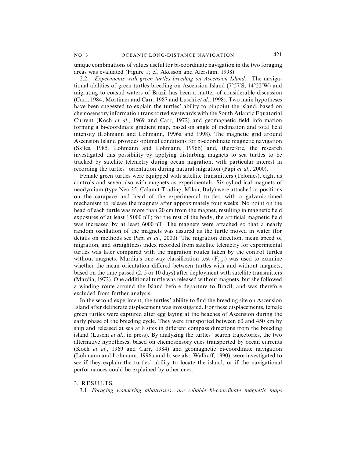unique combinations of values useful for bi-coordinate navigation in the two foraging areas was evaluated (Figure 1; cf. Akesson and Alerstam, 1998).

2.2. *Experiments with green turtles breeding on Ascension Island*. The navigational abilities of green turtles breeding on Ascension Island ( $7^{\circ}57^{\prime}S$ ,  $14^{\circ}22^{\prime}W$ ) and migrating to coastal waters of Brazil has been a matter of considerable discussion (Carr, 1984; Mortimer and Carr, 1987 and Luschi *et al*., 1998). Two main hypotheses have been suggested to explain the turtles' ability to pinpoint the island, based on chemosensory information transported westwards with the South Atlantic Equatorial Current (Koch *et al*., 1969 and Carr, 1972) and geomagnetic field information forming a bi-coordinate gradient map, based on angle of inclination and total field intensity (Lohmann and Lohmann, 1996a and 1998). The magnetic grid around Ascension Island provides optimal conditions for bi-coordinate magnetic navigation (Skiles, 1985; Lohmann and Lohmann, 1996b) and, therefore, the research investigated this possibility by applying disturbing magnets to sea turtles to be tracked by satellite telemetry during ocean migration, with particular interest in recording the turtles' orientation during natural migration (Papi *et al*., 2000).

Female green turtles were equipped with satellite transmitters (Telonics), eight as controls and seven also with magnets as experimentals. Six cylindrical magnets of neodymium (type Neo 35, Calamit Trading, Milan, Italy) were attached at positions on the carapace and head of the experimental turtles, with a galvanic-timed mechanism to release the magnets after approximately four weeks. No point on the head of each turtle was more than 20 cm from the magnet, resulting in magnetic field exposures of at least 15 000 nT; for the rest of the body, the artificial magnetic field was increased by at least 6000 nT. The magnets were attached so that a nearly random oscillation of the magnets was assured as the turtle moved in water (for details on methods see Papi *et al*., 2000). The migration direction, mean speed of migration, and straightness index recorded from satellite telemetry for experimental turtles was later compared with the migration routes taken by the control turtles without magnets. Mardia's one-way classification test  $(F_{1, df})$  was used to examine whether the mean orientation differed between turtles with and without magnets, based on the time passed (2, 5 or 10 days) after deployment with satellite transmitters (Mardia, 1972). One additional turtle was released without magnets, but she followed a winding route around the Island before departure to Brazil, and was therefore excluded from further analysis.

In the second experiment, the turtles' ability to find the breeding site on Ascension Island after deliberate displacement was investigated. For these displacements, female green turtles were captured after egg laying at the beaches of Ascension during the early phase of the breeding cycle. They were transported between 60 and 450 km by ship and released at sea at 8 sites in different compass directions from the breeding island (Luschi *et al*., in press). By analyzing the turtles' search trajectories, the two alternative hypotheses, based on chemosensory cues transported by ocean currents (Koch *et al*., 1969 and Carr, 1984) and geomagnetic bi-coordinate navigation (Lohmann and Lohmann, 1996a and b, see also Wallraff, 1990), were investigated to see if they explain the turtles' ability to locate the island, or if the navigational performances could be explained by other cues.

#### 3. RESULTS.

3.1. *Foraging wandering albatrosses : are reliable bi-coordinate magnetic maps*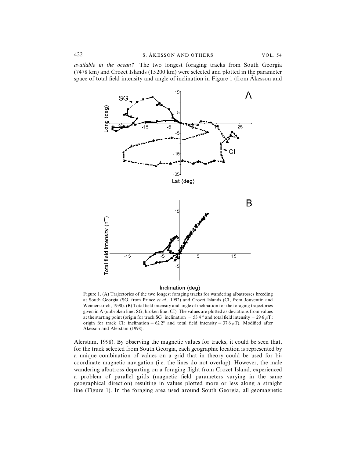*available in the ocean ?* The two longest foraging tracks from South Georgia (7478 km) and Crozet Islands (15 200 km) were selected and plotted in the parameter space of total field intensity and angle of inclination in Figure 1 (from Akesson and



Inclination (deg)

Figure 1. (A) Trajectories of the two longest foraging tracks for wandering albatrosses breeding at South Georgia (SG, from Prince *et al*., 1992) and Crozet Islands (CI, from Jouventin and Weimerskirch, 1990). (B) Total field intensity and angle of inclination for the foraging trajectories given in A (unbroken line: SG, broken line: CI). The values are plotted as deviations from values at the starting point (origin for track SG: inclination = 53.4 ° and total field intensity = 29.6  $\mu$ T; origin for track CI: inclination =  $62.2^\circ$  and total field intensity =  $37.6 \mu T$ ). Modified after Åkesson and Alerstam (1998).

Alerstam, 1998). By observing the magnetic values for tracks, it could be seen that, for the track selected from South Georgia, each geographic location is represented by a unique combination of values on a grid that in theory could be used for bicoordinate magnetic navigation (i.e. the lines do not overlap). However, the male wandering albatross departing on a foraging flight from Crozet Island, experienced a problem of parallel grids (magnetic field parameters varying in the same geographical direction) resulting in values plotted more or less along a straight line (Figure 1). In the foraging area used around South Georgia, all geomagnetic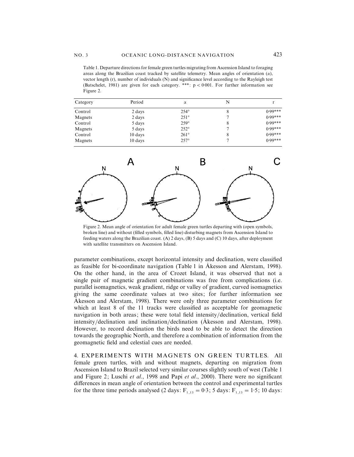Table 1. Departure directions for female green turtles migrating from Ascension Island to foraging areas along the Brazilian coast tracked by satellite telemetry. Mean angles of orientation  $(\alpha)$ , vector length (r), number of individuals (N) and significance level according to the Rayleigh test (Batschelet, 1981) are given for each category. \*\*\*:  $p < 0.001$ . For further information see Figure 2.

| Category | Period  | α           | N |           |
|----------|---------|-------------|---|-----------|
| Control  | 2 days  | $254^\circ$ |   | $0.99***$ |
| Magnets  | 2 days  | $251^\circ$ |   | $0.99***$ |
| Control  | 5 days  | $259^\circ$ | 8 | $0.99***$ |
| Magnets  | 5 days  | $252^\circ$ |   | $0.99***$ |
| Control  | 10 days | $261^\circ$ |   | $0.99***$ |
| Magnets  | 10 days | $257^\circ$ |   | $0.99***$ |



Figure 2. Mean angle of orientation for adult female green turtles departing with (open symbols, broken line) and without (filled symbols, filled line) disturbing magnets from Ascension Island to feeding waters along the Brazilian coast. (A) 2 days, (B) 5 days and (C) 10 days, after deployment with satellite transmitters on Ascension Island.

parameter combinations, except horizontal intensity and declination, were classified as feasible for bi-coordinate navigation (Table 1 in Akesson and Alerstam, 1998). On the other hand, in the area of Crozet Island, it was observed that not a single pair of magnetic gradient combinations was free from complications (i.e. parallel isomagnetics, weak gradient, ridge or valley of gradient, curved isomagnetics giving the same coordinate values at two sites; for further information see Akesson and Alerstam, 1998). There were only three parameter combinations for which at least 8 of the 11 tracks were classified as acceptable for geomagnetic navigation in both areas; these were total field intensity/declination, vertical field intensity/declination and inclination/declination (Akesson and Alerstam, 1998). However, to record declination the birds need to be able to detect the direction towards the geographic North, and therefore a combination of information from the geomagnetic field and celestial cues are needed.

4. EXPERIMENTS WITH MAGNETS ON GREEN TURTLES. All female green turtles, with and without magnets, departing on migration from Ascension Island to Brazil selected very similar courses slightly south of west (Table 1 and Figure 2; Luschi *et al*., 1998 and Papi *et al*., 2000). There were no significant differences in mean angle of orientation between the control and experimental turtles for the three time periods analysed (2 days:  $F_{1,13} = 0.3$ ; 5 days:  $F_{1,13} = 1.5$ ; 10 days: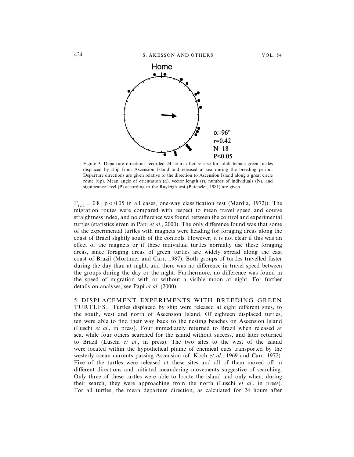

Figure 3. Departure directions recorded 24 hours after release for adult female green turtles displaced by ship from Ascension Island and released at sea during the breeding period. Departure directions are given relative to the direction to Ascension Island along a great circle route (up). Mean angle of orientation  $(\alpha)$ , vector length (r), number of individuals (N), and significance level (P) according to the Rayleigh test (Batchelet, 1981) are given.

 $F_{1,13} = 0.8$ ; p < 0.05 in all cases, one-way classification test (Mardia, 1972)). The migration routes were compared with respect to mean travel speed and course straightness index, and no difference was found between the control and experimental turtles (statistics given in Papi *et al*., 2000). The only difference found was that some of the experimental turtles with magnets were heading for foraging areas along the coast of Brazil slightly south of the controls. However, it is not clear if this was an effect of the magnets or if these individual turtles normally use these foraging areas, since foraging areas of green turtles are widely spread along the east coast of Brazil (Mortimer and Carr, 1987). Both groups of turtles travelled faster during the day than at night, and there was no difference in travel speed between the groups during the day or the night. Furthermore, no difference was found in the speed of migration with or without a visible moon at night. For further details on analyses, see Papi *et al*. (2000).

5. DISPLACEMENT EXPERIMENTS WITH BREEDING GREEN TURTLES. Turtles displaced by ship were released at eight different sites, to the south, west and north of Ascension Island. Of eighteen displaced turtles, ten were able to find their way back to the nesting beaches on Ascension Island (Luschi *et al*., in press). Four immediately returned to Brazil when released at sea, while four others searched for the island without success, and later returned to Brazil (Luschi *et al*., in press). The two sites to the west of the island were located within the hypothetical plume of chemical cues transported by the westerly ocean currents passing Ascension (cf. Koch *et al*., 1969 and Carr, 1972). Five of the turtles were released at these sites and all of them moved off in different directions and initiated meandering movements suggestive of searching. Only three of these turtles were able to locate the island and only when, during their search, they were approaching from the north (Luschi *et al*., in press). For all turtles, the mean departure direction, as calculated for 24 hours after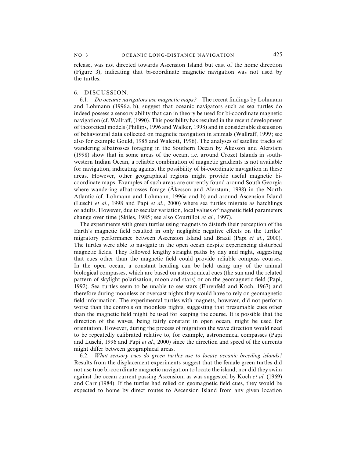release, was not directed towards Ascension Island but east of the home direction (Figure 3), indicating that bi-coordinate magnetic navigation was not used by the turtles.

### 6. DISCUSSION.

6.1. *Do oceanic navigators use magnetic maps ?* The recent findings by Lohmann and Lohmann (1996a, b), suggest that oceanic navigators such as sea turtles do indeed possess a sensory ability that can in theory be used for bi-coordinate magnetic navigation (cf. Wallraff, (1990). This possibility has resulted in the recent development of theoretical models (Phillips, 1996 and Walker, 1998) and in considerable discussion of behavioural data collected on magnetic navigation in animals (Wallraff, 1999; see also for example Gould, 1985 and Walcott, 1996). The analyses of satellite tracks of wandering albatrosses foraging in the Southern Ocean by Akesson and Alerstam (1998) show that in some areas of the ocean, i.e. around Crozet Islands in southwestern Indian Ocean, a reliable combination of magnetic gradients is not available for navigation, indicating against the possibility of bi-coordinate navigation in these areas. However, other geographical regions might provide useful magnetic bicoordinate maps. Examples of such areas are currently found around South Georgia where wandering albatrosses forage (Akesson and Alerstam, 1998) in the North Atlantic (cf. Lohmann and Lohmann, 1996a and b) and around Ascension Island (Luschi *et al*., 1998 and Papi *et al*., 2000) where sea turtles migrate as hatchlings or adults. However, due to secular variation, local values of magnetic field parameters change over time (Skiles, 1985; see also Courtillot *et al*., 1997).

The experiments with green turtles using magnets to disturb their perception of the Earth's magnetic field resulted in only negligible negative effects on the turtles' migratory performance between Ascension Island and Brazil (Papi *et al*., 2000). The turtles were able to navigate in the open ocean despite experiencing disturbed magnetic fields. They followed lengthy straight paths by day and night, suggesting that cues other than the magnetic field could provide reliable compass courses. In the open ocean, a constant heading can be held using any of the animal biological compasses, which are based on astronomical cues (the sun and the related pattern of skylight polarisation, moon and stars) or on the geomagnetic field (Papi, 1992). Sea turtles seem to be unable to see stars (Ehrenfeld and Koch, 1967) and therefore during moonless or overcast nights they would have to rely on geomagnetic field information. The experimental turtles with magnets, however, did not perform worse than the controls on moonless nights, suggesting that presumable cues other than the magnetic field might be used for keeping the course. It is possible that the direction of the waves, being fairly constant in open ocean, might be used for orientation. However, during the process of migration the wave direction would need to be repeatedly calibrated relative to, for example, astronomical compasses (Papi and Luschi, 1996 and Papi *et al*., 2000) since the direction and speed of the currents might differ between geographical areas.

6.2. *What sensory cues do green turtles use to locate oceanic breeding islands ?* Results from the displacement experiments suggest that the female green turtles did not use true bi-coordinate magnetic navigation to locate the island, nor did they swim against the ocean current passing Ascension, as was suggested by Koch *et al*. (1969) and Carr (1984). If the turtles had relied on geomagnetic field cues, they would be expected to home by direct routes to Ascension Island from any given location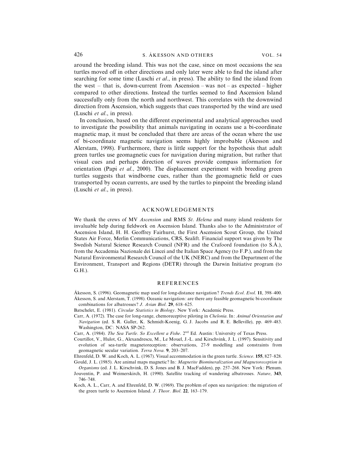around the breeding island. This was not the case, since on most occasions the sea turtles moved off in other directions and only later were able to find the island after searching for some time (Luschi *et al*., in press). The ability to find the island from the west – that is, down-current from Ascension – was not – as expected – higher compared to other directions. Instead the turtles seemed to find Ascension Island successfully only from the north and northwest. This correlates with the downwind direction from Ascension, which suggests that cues transported by the wind are used (Luschi *et al*., in press).

In conclusion, based on the different experimental and analytical approaches used to investigate the possibility that animals navigating in oceans use a bi-coordinate magnetic map, it must be concluded that there are areas of the ocean where the use of bi-coordinate magnetic navigation seems highly improbable (A/ kesson and Alerstam, 1998). Furthermore, there is little support for the hypothesis that adult green turtles use geomagnetic cues for navigation during migration, but rather that visual cues and perhaps direction of waves provide compass information for orientation (Papi *et al*., 2000). The displacement experiment with breeding green turtles suggests that windborne cues, rather than the geomagnetic field or cues transported by ocean currents, are used by the turtles to pinpoint the breeding island (Luschi *et al*., in press).

#### ACKNOWLEDGEMENTS

We thank the crews of MV *Ascension* and RMS *St*. *Helena* and many island residents for invaluable help during fieldwork on Ascension Island. Thanks also to the Administrator of Ascension Island, H. H. Geoffrey Fairhurst, the First Ascension Scout Group, the United States Air Force, Merlin Communications, CRS, Sealift. Financial support was given by The Swedish Natural Science Research Council (NFR) and the Crafoord foundation (to S.A.), from the Accademia Nazionale dei Lincei and the Italian Space Agency (to F.P.), and from the Natural Environmental Research Council of the UK (NERC) and from the Department of the Environment, Transport and Regions (DETR) through the Darwin Initiative program (to G.H.).

#### REFERENCES

- A/ kesson, S. (1996). Geomagnetic map used for long-distance navigation ? *Trends Ecol*. *Evol*. **11**, 398–400. Å kesson, S. and Alerstam, T. (1998). Oceanic navigation: are there any feasible geomagnetic bi-coordinate combinations for albatrosses ? *J*. *Avian Biol*. **29**, 618–625.
- Batschelet, E. (1981). *Circular Statistics in Biology*. New York: Academic Press.
- Carr, A. (1972). The case for long-range, chemoreceptive piloting in *Chelonia*. In: *Animal Orientation and Navigation* (ed. S. R. Galler, K. Schmidt-Koenig, G. J. Jacobs and R. E. Belleville), pp. 469–483. Washington, DC: NASA SP-262.
- Carr, A. (1984). *The Sea Turtle*. *So Excellent a Fishe*. 2nd Ed. Austin: University of Texas Press.
- Courtillot, V., Hulot, G., Alexandrescu, M., Le Mouel, J.-L. and Kirschvink, J. L. (1997). Sensitivity and evolution of sea-turtle magnetoreception: observations, 27-9 modelling and constraints from geomagnetic secular variation. *Terra Nova*. **9**, 203–207.
- Ehrenfeld, D. W. and Koch, A. L. (1967). Visual accommodation in the green turtle. *Science*. **155**, 827–828. Gould, J. L. (1985). Are animal maps magnetic ? In: *Magnetite Biomineralization and Magnetoreception in*
- *Organisms* (ed. J. L. Kirschvink, D. S. Jones and B. J. MacFadden), pp. 257–268. New York: Plenum. Jouventin, P. and Weimerskirch, H. (1990). Satellite tracking of wandering albatrosses. *Nature*, **343**, 746–748.
- Koch, A. L., Carr, A. and Ehrenfeld, D. W. (1969). The problem of open sea navigation: the migration of the green turtle to Ascension Island. *J*. *Theor*. *Biol*. **22**, 163–179.